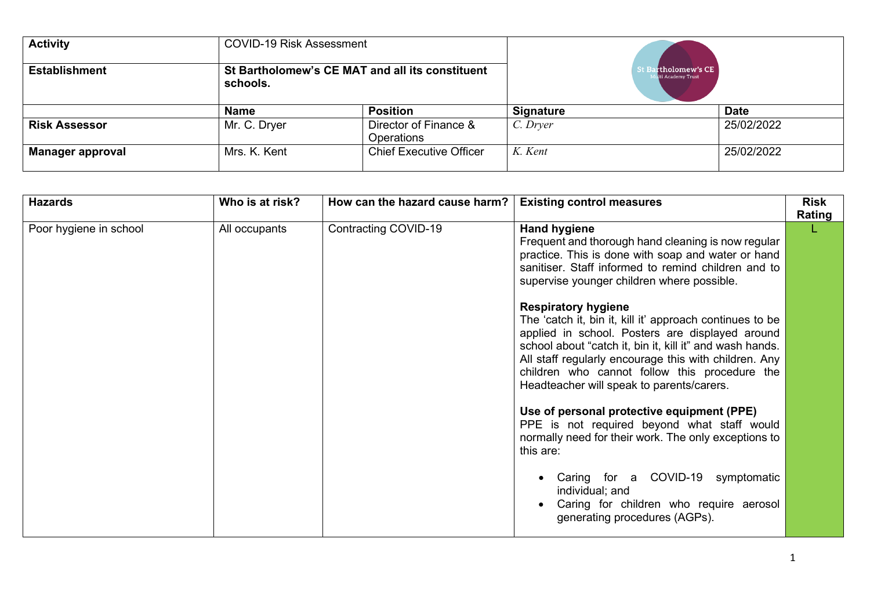| <b>Activity</b>         | <b>COVID-19 Risk Assessment</b>                             |                                     |                                                   |             |
|-------------------------|-------------------------------------------------------------|-------------------------------------|---------------------------------------------------|-------------|
| <b>Establishment</b>    | St Bartholomew's CE MAT and all its constituent<br>schools. |                                     | <b>St Bartholomew's CE</b><br>fulti Academy Trust |             |
|                         | <b>Name</b>                                                 | <b>Position</b>                     | <b>Signature</b>                                  | <b>Date</b> |
| <b>Risk Assessor</b>    | Mr. C. Dryer                                                | Director of Finance &<br>Operations | C. Dryer                                          | 25/02/2022  |
| <b>Manager approval</b> | Mrs. K. Kent                                                | <b>Chief Executive Officer</b>      | K. Kent                                           | 25/02/2022  |

| <b>Hazards</b>         | Who is at risk? | How can the hazard cause harm? | <b>Existing control measures</b>                                                                                                                                                                                                                                                                                                                             | <b>Risk</b><br>Rating |
|------------------------|-----------------|--------------------------------|--------------------------------------------------------------------------------------------------------------------------------------------------------------------------------------------------------------------------------------------------------------------------------------------------------------------------------------------------------------|-----------------------|
| Poor hygiene in school | All occupants   | Contracting COVID-19           | <b>Hand hygiene</b><br>Frequent and thorough hand cleaning is now regular<br>practice. This is done with soap and water or hand<br>sanitiser. Staff informed to remind children and to<br>supervise younger children where possible.                                                                                                                         |                       |
|                        |                 |                                | <b>Respiratory hygiene</b><br>The 'catch it, bin it, kill it' approach continues to be<br>applied in school. Posters are displayed around<br>school about "catch it, bin it, kill it" and wash hands.<br>All staff regularly encourage this with children. Any<br>children who cannot follow this procedure the<br>Headteacher will speak to parents/carers. |                       |
|                        |                 |                                | Use of personal protective equipment (PPE)<br>PPE is not required beyond what staff would<br>normally need for their work. The only exceptions to<br>this are:                                                                                                                                                                                               |                       |
|                        |                 |                                | Caring for a COVID-19 symptomatic<br>individual; and<br>Caring for children who require aerosol<br>generating procedures (AGPs).                                                                                                                                                                                                                             |                       |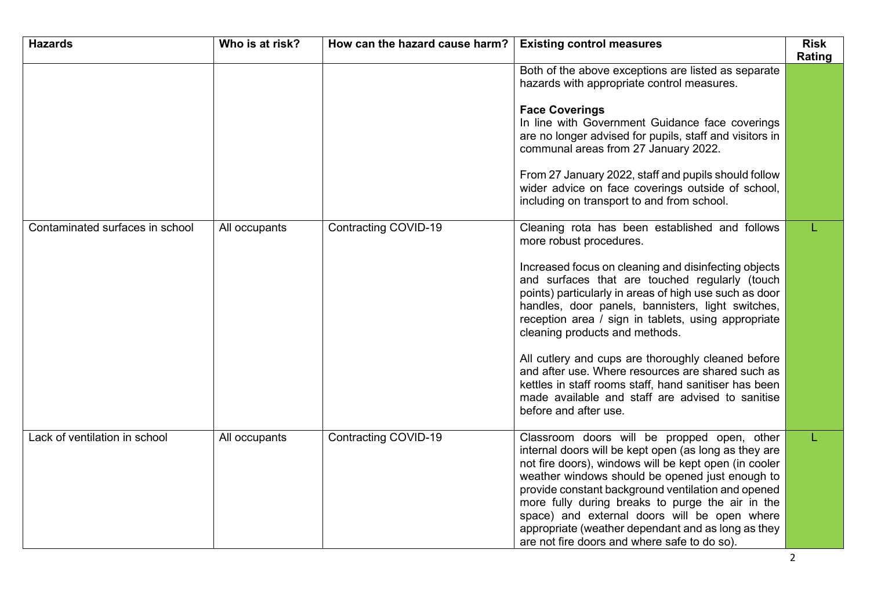| <b>Hazards</b>                  | Who is at risk? | How can the hazard cause harm? | <b>Existing control measures</b>                                                                                                                                                                                                                                                                                                                                                                                                                                                 | <b>Risk</b><br>Rating |
|---------------------------------|-----------------|--------------------------------|----------------------------------------------------------------------------------------------------------------------------------------------------------------------------------------------------------------------------------------------------------------------------------------------------------------------------------------------------------------------------------------------------------------------------------------------------------------------------------|-----------------------|
|                                 |                 |                                | Both of the above exceptions are listed as separate<br>hazards with appropriate control measures.<br><b>Face Coverings</b>                                                                                                                                                                                                                                                                                                                                                       |                       |
|                                 |                 |                                | In line with Government Guidance face coverings<br>are no longer advised for pupils, staff and visitors in<br>communal areas from 27 January 2022.                                                                                                                                                                                                                                                                                                                               |                       |
|                                 |                 |                                | From 27 January 2022, staff and pupils should follow<br>wider advice on face coverings outside of school,<br>including on transport to and from school.                                                                                                                                                                                                                                                                                                                          |                       |
| Contaminated surfaces in school | All occupants   | Contracting COVID-19           | Cleaning rota has been established and follows<br>more robust procedures.                                                                                                                                                                                                                                                                                                                                                                                                        |                       |
|                                 |                 |                                | Increased focus on cleaning and disinfecting objects<br>and surfaces that are touched regularly (touch<br>points) particularly in areas of high use such as door<br>handles, door panels, bannisters, light switches,<br>reception area / sign in tablets, using appropriate<br>cleaning products and methods.                                                                                                                                                                   |                       |
|                                 |                 |                                | All cutlery and cups are thoroughly cleaned before<br>and after use. Where resources are shared such as<br>kettles in staff rooms staff, hand sanitiser has been<br>made available and staff are advised to sanitise<br>before and after use.                                                                                                                                                                                                                                    |                       |
| Lack of ventilation in school   | All occupants   | <b>Contracting COVID-19</b>    | Classroom doors will be propped open, other<br>internal doors will be kept open (as long as they are<br>not fire doors), windows will be kept open (in cooler<br>weather windows should be opened just enough to<br>provide constant background ventilation and opened<br>more fully during breaks to purge the air in the<br>space) and external doors will be open where<br>appropriate (weather dependant and as long as they<br>are not fire doors and where safe to do so). | L                     |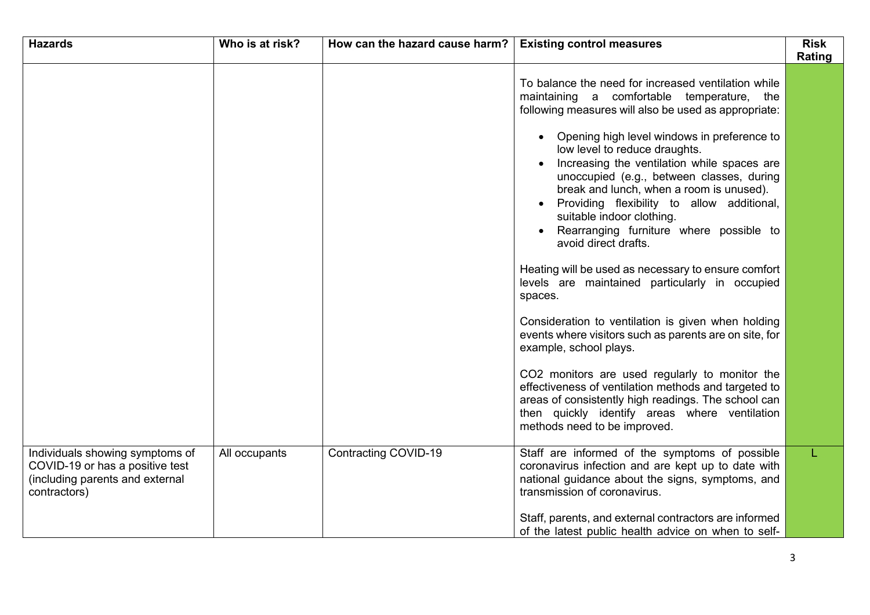| <b>Hazards</b>                                                                                                        | Who is at risk? | How can the hazard cause harm? | <b>Existing control measures</b>                                                                                                                                                                                                                                                                                                                                     | <b>Risk</b><br>Rating |
|-----------------------------------------------------------------------------------------------------------------------|-----------------|--------------------------------|----------------------------------------------------------------------------------------------------------------------------------------------------------------------------------------------------------------------------------------------------------------------------------------------------------------------------------------------------------------------|-----------------------|
|                                                                                                                       |                 |                                | To balance the need for increased ventilation while<br>maintaining a comfortable temperature, the<br>following measures will also be used as appropriate:                                                                                                                                                                                                            |                       |
|                                                                                                                       |                 |                                | • Opening high level windows in preference to<br>low level to reduce draughts.<br>Increasing the ventilation while spaces are<br>unoccupied (e.g., between classes, during<br>break and lunch, when a room is unused).<br>Providing flexibility to allow additional,<br>suitable indoor clothing.<br>Rearranging furniture where possible to<br>avoid direct drafts. |                       |
|                                                                                                                       |                 |                                | Heating will be used as necessary to ensure comfort<br>levels are maintained particularly in occupied<br>spaces.                                                                                                                                                                                                                                                     |                       |
|                                                                                                                       |                 |                                | Consideration to ventilation is given when holding<br>events where visitors such as parents are on site, for<br>example, school plays.                                                                                                                                                                                                                               |                       |
|                                                                                                                       |                 |                                | CO2 monitors are used regularly to monitor the<br>effectiveness of ventilation methods and targeted to<br>areas of consistently high readings. The school can<br>then quickly identify areas where ventilation<br>methods need to be improved.                                                                                                                       |                       |
| Individuals showing symptoms of<br>COVID-19 or has a positive test<br>(including parents and external<br>contractors) | All occupants   | Contracting COVID-19           | Staff are informed of the symptoms of possible<br>coronavirus infection and are kept up to date with<br>national guidance about the signs, symptoms, and<br>transmission of coronavirus.                                                                                                                                                                             |                       |
|                                                                                                                       |                 |                                | Staff, parents, and external contractors are informed<br>of the latest public health advice on when to self-                                                                                                                                                                                                                                                         |                       |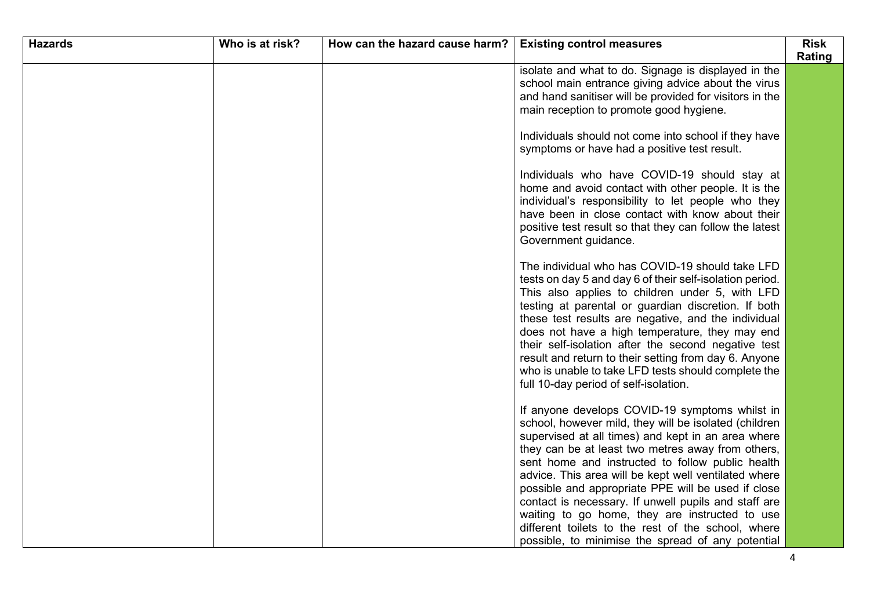| <b>Hazards</b> | Who is at risk? | How can the hazard cause harm? | <b>Existing control measures</b>                                                                                                                                                                                                                                                                                                                                                                                                                                                                                                                                                                          | <b>Risk</b> |
|----------------|-----------------|--------------------------------|-----------------------------------------------------------------------------------------------------------------------------------------------------------------------------------------------------------------------------------------------------------------------------------------------------------------------------------------------------------------------------------------------------------------------------------------------------------------------------------------------------------------------------------------------------------------------------------------------------------|-------------|
|                |                 |                                | isolate and what to do. Signage is displayed in the<br>school main entrance giving advice about the virus<br>and hand sanitiser will be provided for visitors in the<br>main reception to promote good hygiene.                                                                                                                                                                                                                                                                                                                                                                                           | Rating      |
|                |                 |                                | Individuals should not come into school if they have<br>symptoms or have had a positive test result.                                                                                                                                                                                                                                                                                                                                                                                                                                                                                                      |             |
|                |                 |                                | Individuals who have COVID-19 should stay at<br>home and avoid contact with other people. It is the<br>individual's responsibility to let people who they<br>have been in close contact with know about their<br>positive test result so that they can follow the latest<br>Government guidance.                                                                                                                                                                                                                                                                                                          |             |
|                |                 |                                | The individual who has COVID-19 should take LFD<br>tests on day 5 and day 6 of their self-isolation period.<br>This also applies to children under 5, with LFD<br>testing at parental or guardian discretion. If both<br>these test results are negative, and the individual<br>does not have a high temperature, they may end<br>their self-isolation after the second negative test<br>result and return to their setting from day 6. Anyone<br>who is unable to take LFD tests should complete the<br>full 10-day period of self-isolation.                                                            |             |
|                |                 |                                | If anyone develops COVID-19 symptoms whilst in<br>school, however mild, they will be isolated (children<br>supervised at all times) and kept in an area where<br>they can be at least two metres away from others,<br>sent home and instructed to follow public health<br>advice. This area will be kept well ventilated where<br>possible and appropriate PPE will be used if close<br>contact is necessary. If unwell pupils and staff are<br>waiting to go home, they are instructed to use<br>different toilets to the rest of the school, where<br>possible, to minimise the spread of any potential |             |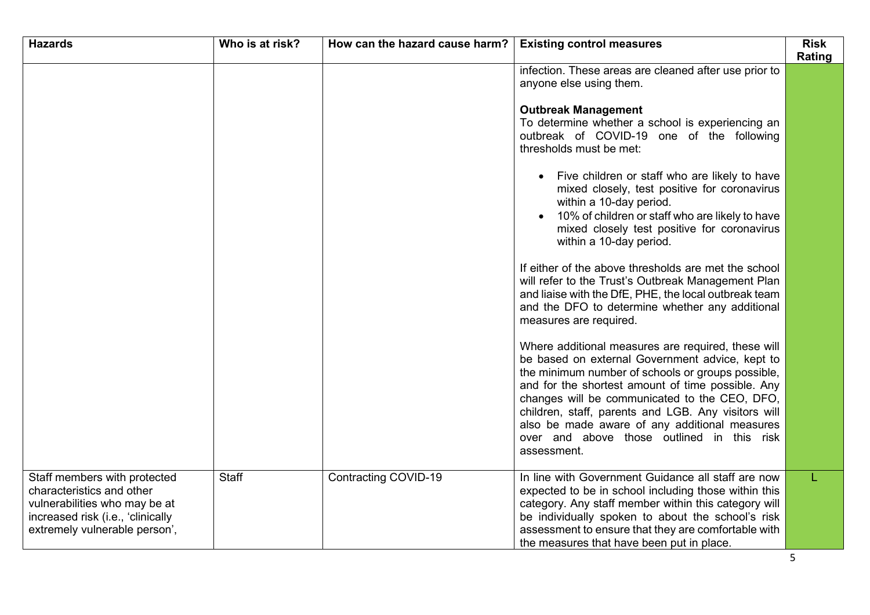| <b>Hazards</b>                                                                                                                                                   | Who is at risk? | How can the hazard cause harm? | <b>Existing control measures</b>                                                                                                                                                                                                                                                                                                                                                                                                      | <b>Risk</b><br>Rating |
|------------------------------------------------------------------------------------------------------------------------------------------------------------------|-----------------|--------------------------------|---------------------------------------------------------------------------------------------------------------------------------------------------------------------------------------------------------------------------------------------------------------------------------------------------------------------------------------------------------------------------------------------------------------------------------------|-----------------------|
|                                                                                                                                                                  |                 |                                | infection. These areas are cleaned after use prior to<br>anyone else using them.                                                                                                                                                                                                                                                                                                                                                      |                       |
|                                                                                                                                                                  |                 |                                | <b>Outbreak Management</b><br>To determine whether a school is experiencing an<br>outbreak of COVID-19 one of the following<br>thresholds must be met:                                                                                                                                                                                                                                                                                |                       |
|                                                                                                                                                                  |                 |                                | Five children or staff who are likely to have<br>$\bullet$<br>mixed closely, test positive for coronavirus<br>within a 10-day period.<br>10% of children or staff who are likely to have<br>mixed closely test positive for coronavirus<br>within a 10-day period.                                                                                                                                                                    |                       |
|                                                                                                                                                                  |                 |                                | If either of the above thresholds are met the school<br>will refer to the Trust's Outbreak Management Plan<br>and liaise with the DfE, PHE, the local outbreak team<br>and the DFO to determine whether any additional<br>measures are required.                                                                                                                                                                                      |                       |
|                                                                                                                                                                  |                 |                                | Where additional measures are required, these will<br>be based on external Government advice, kept to<br>the minimum number of schools or groups possible,<br>and for the shortest amount of time possible. Any<br>changes will be communicated to the CEO, DFO,<br>children, staff, parents and LGB. Any visitors will<br>also be made aware of any additional measures<br>over and above those outlined in this risk<br>assessment. |                       |
| Staff members with protected<br>characteristics and other<br>vulnerabilities who may be at<br>increased risk (i.e., 'clinically<br>extremely vulnerable person', | <b>Staff</b>    | Contracting COVID-19           | In line with Government Guidance all staff are now<br>expected to be in school including those within this<br>category. Any staff member within this category will<br>be individually spoken to about the school's risk<br>assessment to ensure that they are comfortable with<br>the measures that have been put in place.                                                                                                           | L                     |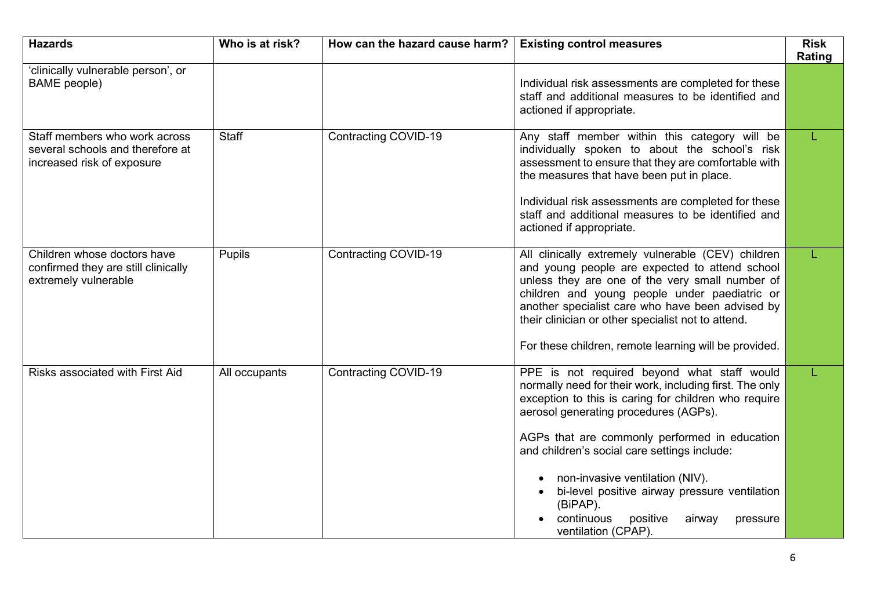| <b>Hazards</b>                                                                                  | Who is at risk? | How can the hazard cause harm? | <b>Existing control measures</b>                                                                                                                                                                                                                                                                                                                                                                                                                                                | <b>Risk</b><br>Rating |
|-------------------------------------------------------------------------------------------------|-----------------|--------------------------------|---------------------------------------------------------------------------------------------------------------------------------------------------------------------------------------------------------------------------------------------------------------------------------------------------------------------------------------------------------------------------------------------------------------------------------------------------------------------------------|-----------------------|
| 'clinically vulnerable person', or<br><b>BAME</b> people)                                       |                 |                                | Individual risk assessments are completed for these<br>staff and additional measures to be identified and<br>actioned if appropriate.                                                                                                                                                                                                                                                                                                                                           |                       |
| Staff members who work across<br>several schools and therefore at<br>increased risk of exposure | Staff           | <b>Contracting COVID-19</b>    | Any staff member within this category will be<br>individually spoken to about the school's risk<br>assessment to ensure that they are comfortable with<br>the measures that have been put in place.<br>Individual risk assessments are completed for these<br>staff and additional measures to be identified and<br>actioned if appropriate.                                                                                                                                    |                       |
| Children whose doctors have<br>confirmed they are still clinically<br>extremely vulnerable      | Pupils          | <b>Contracting COVID-19</b>    | All clinically extremely vulnerable (CEV) children<br>and young people are expected to attend school<br>unless they are one of the very small number of<br>children and young people under paediatric or<br>another specialist care who have been advised by<br>their clinician or other specialist not to attend.<br>For these children, remote learning will be provided.                                                                                                     |                       |
| <b>Risks associated with First Aid</b>                                                          | All occupants   | Contracting COVID-19           | PPE is not required beyond what staff would<br>normally need for their work, including first. The only<br>exception to this is caring for children who require<br>aerosol generating procedures (AGPs).<br>AGPs that are commonly performed in education<br>and children's social care settings include:<br>non-invasive ventilation (NIV).<br>bi-level positive airway pressure ventilation<br>(BiPAP).<br>continuous<br>positive<br>airway<br>pressure<br>ventilation (CPAP). |                       |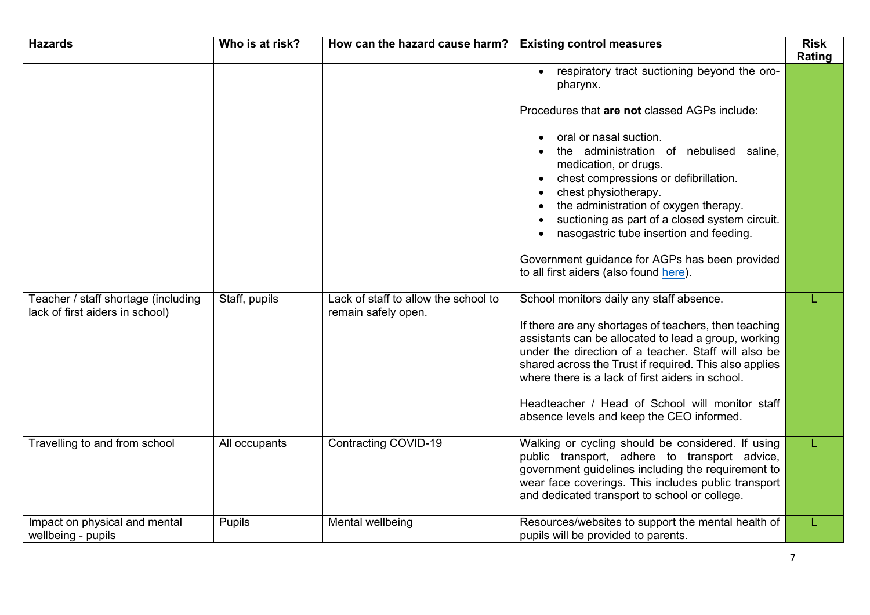| <b>Hazards</b>                                                         | Who is at risk? | How can the hazard cause harm?                              | <b>Existing control measures</b>                                                                                                                                                                                                                                                                                                                                                                                                | <b>Risk</b><br>Rating |
|------------------------------------------------------------------------|-----------------|-------------------------------------------------------------|---------------------------------------------------------------------------------------------------------------------------------------------------------------------------------------------------------------------------------------------------------------------------------------------------------------------------------------------------------------------------------------------------------------------------------|-----------------------|
|                                                                        |                 |                                                             | respiratory tract suctioning beyond the oro-<br>pharynx.                                                                                                                                                                                                                                                                                                                                                                        |                       |
|                                                                        |                 |                                                             | Procedures that are not classed AGPs include:                                                                                                                                                                                                                                                                                                                                                                                   |                       |
|                                                                        |                 |                                                             | oral or nasal suction.<br>the administration of nebulised saline,<br>medication, or drugs.<br>chest compressions or defibrillation.<br>chest physiotherapy.<br>the administration of oxygen therapy.<br>suctioning as part of a closed system circuit.<br>nasogastric tube insertion and feeding.                                                                                                                               |                       |
|                                                                        |                 |                                                             | Government guidance for AGPs has been provided<br>to all first aiders (also found here).                                                                                                                                                                                                                                                                                                                                        |                       |
| Teacher / staff shortage (including<br>lack of first aiders in school) | Staff, pupils   | Lack of staff to allow the school to<br>remain safely open. | School monitors daily any staff absence.<br>If there are any shortages of teachers, then teaching<br>assistants can be allocated to lead a group, working<br>under the direction of a teacher. Staff will also be<br>shared across the Trust if required. This also applies<br>where there is a lack of first aiders in school.<br>Headteacher / Head of School will monitor staff<br>absence levels and keep the CEO informed. |                       |
| Travelling to and from school                                          | All occupants   | Contracting COVID-19                                        | Walking or cycling should be considered. If using<br>public transport, adhere to transport advice,<br>government guidelines including the requirement to<br>wear face coverings. This includes public transport<br>and dedicated transport to school or college.                                                                                                                                                                | L                     |
| Impact on physical and mental<br>wellbeing - pupils                    | Pupils          | Mental wellbeing                                            | Resources/websites to support the mental health of<br>pupils will be provided to parents.                                                                                                                                                                                                                                                                                                                                       |                       |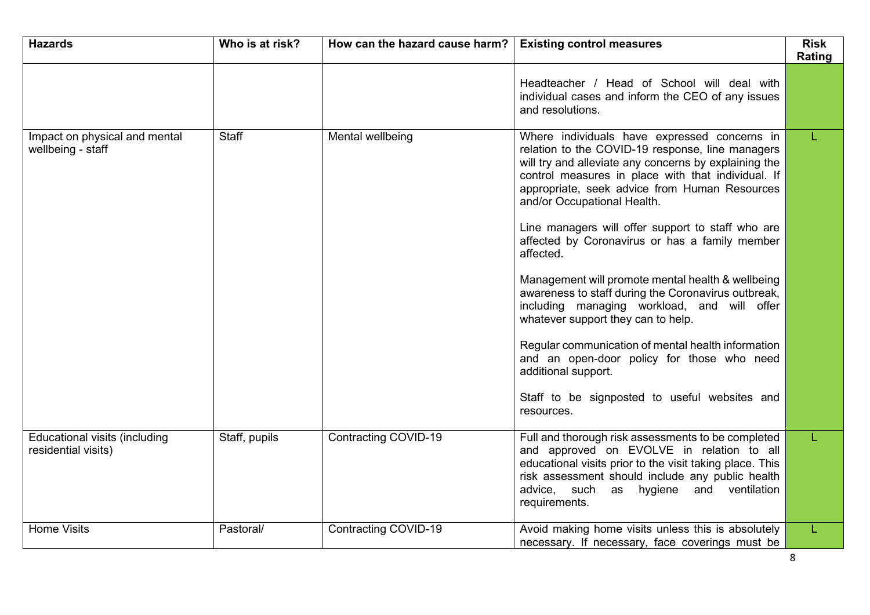| <b>Hazards</b>                                       | Who is at risk? | How can the hazard cause harm? | <b>Existing control measures</b>                                                                                                                                                                                                                                                                | <b>Risk</b><br>Rating |
|------------------------------------------------------|-----------------|--------------------------------|-------------------------------------------------------------------------------------------------------------------------------------------------------------------------------------------------------------------------------------------------------------------------------------------------|-----------------------|
|                                                      |                 |                                | Headteacher / Head of School will deal with<br>individual cases and inform the CEO of any issues<br>and resolutions.                                                                                                                                                                            |                       |
| Impact on physical and mental<br>wellbeing - staff   | <b>Staff</b>    | Mental wellbeing               | Where individuals have expressed concerns in<br>relation to the COVID-19 response, line managers<br>will try and alleviate any concerns by explaining the<br>control measures in place with that individual. If<br>appropriate, seek advice from Human Resources<br>and/or Occupational Health. |                       |
|                                                      |                 |                                | Line managers will offer support to staff who are<br>affected by Coronavirus or has a family member<br>affected.                                                                                                                                                                                |                       |
|                                                      |                 |                                | Management will promote mental health & wellbeing<br>awareness to staff during the Coronavirus outbreak,<br>including managing workload, and will offer<br>whatever support they can to help.                                                                                                   |                       |
|                                                      |                 |                                | Regular communication of mental health information<br>and an open-door policy for those who need<br>additional support.                                                                                                                                                                         |                       |
|                                                      |                 |                                | Staff to be signposted to useful websites and<br>resources.                                                                                                                                                                                                                                     |                       |
| Educational visits (including<br>residential visits) | Staff, pupils   | <b>Contracting COVID-19</b>    | Full and thorough risk assessments to be completed<br>and approved on EVOLVE in relation to all<br>educational visits prior to the visit taking place. This<br>risk assessment should include any public health<br>advice, such as hygiene and ventilation<br>requirements.                     |                       |
| <b>Home Visits</b>                                   | Pastoral/       | Contracting COVID-19           | Avoid making home visits unless this is absolutely<br>necessary. If necessary, face coverings must be                                                                                                                                                                                           | L.                    |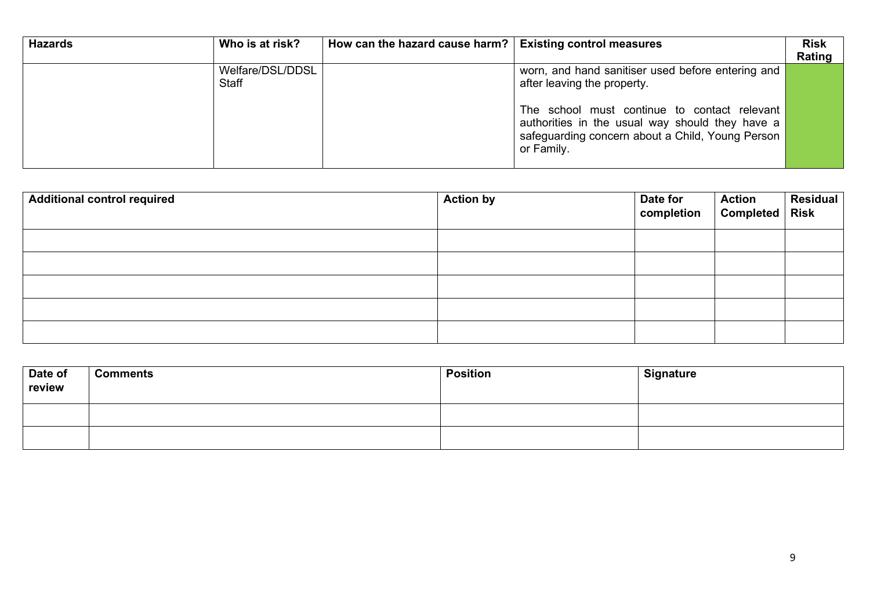| <b>Hazards</b> | Who is at risk?           | How can the hazard cause harm?   Existing control measures |                                                                                                                                                                   | <b>Risk</b><br>Rating |
|----------------|---------------------------|------------------------------------------------------------|-------------------------------------------------------------------------------------------------------------------------------------------------------------------|-----------------------|
|                | Welfare/DSL/DDSL<br>Staff |                                                            | worn, and hand sanitiser used before entering and<br>after leaving the property.                                                                                  |                       |
|                |                           |                                                            | The school must continue to contact relevant<br>authorities in the usual way should they have a<br>safeguarding concern about a Child, Young Person<br>or Family. |                       |

| <b>Additional control required</b> | <b>Action by</b> | Date for<br>completion | Action Residual<br>Completed Risk |  |
|------------------------------------|------------------|------------------------|-----------------------------------|--|
|                                    |                  |                        |                                   |  |
|                                    |                  |                        |                                   |  |
|                                    |                  |                        |                                   |  |
|                                    |                  |                        |                                   |  |
|                                    |                  |                        |                                   |  |

| Date of<br>review | <b>Comments</b> | <b>Position</b> | <b>Signature</b> |
|-------------------|-----------------|-----------------|------------------|
|                   |                 |                 |                  |
|                   |                 |                 |                  |